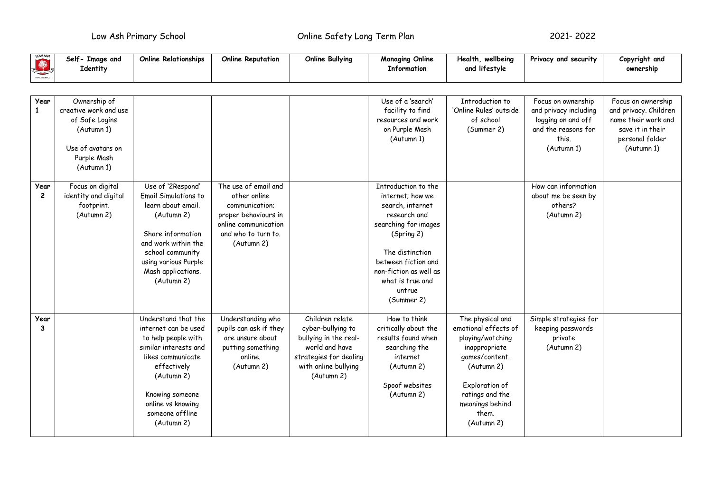Low Ash Primary School Online Safety Long Term Plan 2021- 2022

| <b>READER</b> | Self- Image and<br>Identity | <b>Online Relationships</b> | <b>Online Reputation</b> | Online Bullying | <b>Managing Online</b><br><b>Information</b> | Health, wellbeing<br>and lifestyle | Privacy and security  | Copyright and<br>ownership |
|---------------|-----------------------------|-----------------------------|--------------------------|-----------------|----------------------------------------------|------------------------------------|-----------------------|----------------------------|
|               |                             |                             |                          |                 |                                              |                                    |                       |                            |
| Year          | Ownership of                |                             |                          |                 | Use of a 'search'                            | Introduction to                    | Focus on ownership    | Focus on ownership         |
|               | creative work and use       |                             |                          |                 | facility to find                             | 'Online Rules' outside             | and privacy including | and privacy. Children      |
|               | of Safe Logins              |                             |                          |                 | resources and work                           | of school                          | logging on and off    | name their work and        |
|               | (Autumn 1)                  |                             |                          |                 | on Purple Mash                               | (Summer 2)                         | and the reasons for   | save it in their           |
|               |                             |                             |                          |                 | (Autumn 1)                                   |                                    | this.                 | personal folder            |
|               | Use of avatars on           |                             |                          |                 |                                              |                                    | (Autumn 1)            | (Autumn 1)                 |
|               | Purple Mash                 |                             |                          |                 |                                              |                                    |                       |                            |
|               | (Autumn 1)                  |                             |                          |                 |                                              |                                    |                       |                            |
|               |                             |                             |                          |                 |                                              |                                    |                       |                            |

|           | Use of avatars on<br>Purple Mash<br>(Autumn 1)                       |                                                                                                                                                                                                                        |                                                                                                                                             |                                                                                                                                                 |                                                                                                                                                                                                                                   |                                                                                                                                                                                              | (Autumn 1)                                                          | (Autumn 1) |
|-----------|----------------------------------------------------------------------|------------------------------------------------------------------------------------------------------------------------------------------------------------------------------------------------------------------------|---------------------------------------------------------------------------------------------------------------------------------------------|-------------------------------------------------------------------------------------------------------------------------------------------------|-----------------------------------------------------------------------------------------------------------------------------------------------------------------------------------------------------------------------------------|----------------------------------------------------------------------------------------------------------------------------------------------------------------------------------------------|---------------------------------------------------------------------|------------|
| Year<br>2 | Focus on digital<br>identity and digital<br>footprint.<br>(Autumn 2) | Use of '2Respond'<br><b>Email Simulations to</b><br>learn about email.<br>(Autumn 2)<br>Share information<br>and work within the<br>school community<br>using various Purple<br>Mash applications.<br>(Autumn 2)       | The use of email and<br>other online<br>communication;<br>proper behaviours in<br>online communication<br>and who to turn to.<br>(Autumn 2) |                                                                                                                                                 | Introduction to the<br>internet; how we<br>search, internet<br>research and<br>searching for images<br>(Spring 2)<br>The distinction<br>between fiction and<br>non-fiction as well as<br>what is true and<br>untrue<br>(Summer 2) |                                                                                                                                                                                              | How can information<br>about me be seen by<br>others?<br>(Autumn 2) |            |
| Year<br>3 |                                                                      | Understand that the<br>internet can be used<br>to help people with<br>similar interests and<br>likes communicate<br>effectively<br>(Autumn 2)<br>Knowing someone<br>online vs knowing<br>someone offline<br>(Autumn 2) | Understanding who<br>pupils can ask if they<br>are unsure about<br>putting something<br>online.<br>(Autumn 2)                               | Children relate<br>cyber-bullying to<br>bullying in the real-<br>world and have<br>strategies for dealing<br>with online bullying<br>(Autumn 2) | How to think<br>critically about the<br>results found when<br>searching the<br>internet<br>(Autumn 2)<br>Spoof websites<br>(Autumn 2)                                                                                             | The physical and<br>emotional effects of<br>playing/watching<br>inappropriate<br>games/content.<br>(Autumn 2)<br>Exploration of<br>ratings and the<br>meanings behind<br>them.<br>(Autumn 2) | Simple strategies for<br>keeping passwords<br>private<br>(Autumn 2) |            |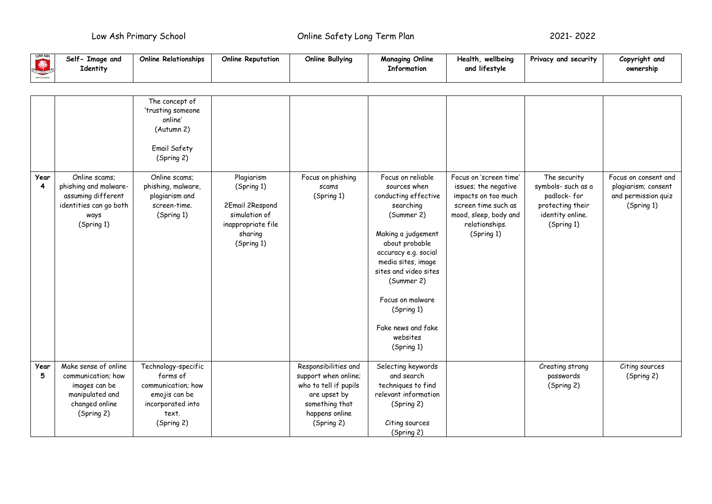Low Ash Primary School Online Safety Long Term Plan 2021- 2022

| LOW ASH<br>PERMITS HOLE | Self<br>Image and<br>Identity | Online Relationships | <b>Online Reputation</b> | Online Bullying | <b>Managing Online</b><br><b>Information</b> | wellbeina<br>Health.<br>and lifestyle | Privacy and security | Copyright and<br>ownership |
|-------------------------|-------------------------------|----------------------|--------------------------|-----------------|----------------------------------------------|---------------------------------------|----------------------|----------------------------|
|-------------------------|-------------------------------|----------------------|--------------------------|-----------------|----------------------------------------------|---------------------------------------|----------------------|----------------------------|

|                        |                                                                                                                | The concept of<br>'trusting someone<br>online'<br>(Autumn 2)<br>Email Safety<br>(Spring 2)                         |                                                                                                             |                                                                                                                                         |                                                                                                                                                                                                                                                                                                     |                                                                                                                                                       |                                                                                                         |                                                                                  |
|------------------------|----------------------------------------------------------------------------------------------------------------|--------------------------------------------------------------------------------------------------------------------|-------------------------------------------------------------------------------------------------------------|-----------------------------------------------------------------------------------------------------------------------------------------|-----------------------------------------------------------------------------------------------------------------------------------------------------------------------------------------------------------------------------------------------------------------------------------------------------|-------------------------------------------------------------------------------------------------------------------------------------------------------|---------------------------------------------------------------------------------------------------------|----------------------------------------------------------------------------------|
| Year<br>$\overline{4}$ | Online scams;<br>phishing and malware-<br>assuming different<br>identities can go both<br>ways<br>(Spring 1)   | Online scams:<br>phishing, malware,<br>plagiarism and<br>screen-time.<br>(Spring 1)                                | Plagiarism<br>(Spring 1)<br>2Email 2Respond<br>simulation of<br>inappropriate file<br>sharing<br>(Spring 1) | Focus on phishing<br>scams<br>(Spring 1)                                                                                                | Focus on reliable<br>sources when<br>conducting effective<br>searching<br>(Summer 2)<br>Making a judgement<br>about probable<br>accuracy e.g. social<br>media sites, image<br>sites and video sites<br>(Summer 2)<br>Focus on malware<br>(Spring 1)<br>Fake news and fake<br>websites<br>(Spring 1) | Focus on 'screen time'<br>issues; the negative<br>impacts on too much<br>screen time such as<br>mood, sleep, body and<br>relationships.<br>(Spring 1) | The security<br>symbols- such as a<br>padlock-for<br>protecting their<br>identity online.<br>(Spring 1) | Focus on consent and<br>plagiarism; consent<br>and permission quiz<br>(Spring 1) |
| Year<br>5              | Make sense of online<br>communication; how<br>images can be<br>manipulated and<br>changed online<br>(Spring 2) | Technology-specific<br>forms of<br>communication; how<br>emojis can be<br>incorporated into<br>text.<br>(Spring 2) |                                                                                                             | Responsibilities and<br>support when online;<br>who to tell if pupils<br>are upset by<br>something that<br>happens online<br>(Spring 2) | Selecting keywords<br>and search<br>techniques to find<br>relevant information<br>(Spring 2)<br>Citing sources<br>(Spring 2)                                                                                                                                                                        |                                                                                                                                                       | Creating strong<br>passwords<br>(Spring 2)                                                              | Citing sources<br>(Spring 2)                                                     |